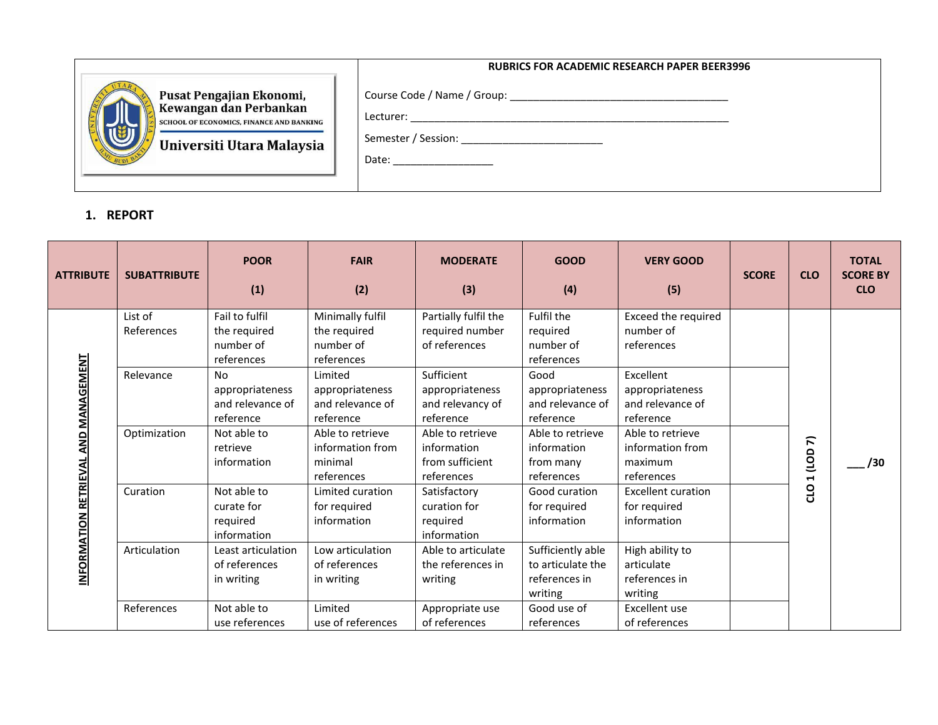|                                                                                                                             | <b>RUBRICS FOR ACADEMIC RESEARCH PAPER BEER3996</b>                                                                                                                                                                                         |
|-----------------------------------------------------------------------------------------------------------------------------|---------------------------------------------------------------------------------------------------------------------------------------------------------------------------------------------------------------------------------------------|
| Pusat Pengajian Ekonomi,<br>Kewangan dan Perbankan<br>SCHOOL OF ECONOMICS, FINANCE AND BANKING<br>Universiti Utara Malaysia | Lecturer:<br>Date: the contract of the contract of the contract of the contract of the contract of the contract of the contract of the contract of the contract of the contract of the contract of the contract of the contract of the cont |

## **1. REPORT**

| <b>ATTRIBUTE</b>                        | <b>SUBATTRIBUTE</b>   | <b>POOR</b><br>(1)                                        | <b>FAIR</b><br>(2)                                            | <b>MODERATE</b><br>(3)                                           | <b>GOOD</b><br>(4)                                                 | <b>VERY GOOD</b><br>(5)                                       | <b>SCORE</b> | <b>CLO</b>  | <b>TOTAL</b><br><b>SCORE BY</b><br><b>CLO</b> |
|-----------------------------------------|-----------------------|-----------------------------------------------------------|---------------------------------------------------------------|------------------------------------------------------------------|--------------------------------------------------------------------|---------------------------------------------------------------|--------------|-------------|-----------------------------------------------|
| AND MANAGEMENT<br>INFORMATION RETRIEVAL | List of<br>References | Fail to fulfil<br>the required<br>number of<br>references | Minimally fulfil<br>the required<br>number of<br>references   | Partially fulfil the<br>required number<br>of references         | Fulfil the<br>required<br>number of<br>references                  | Exceed the required<br>number of<br>references                |              |             |                                               |
|                                         | Relevance             | No<br>appropriateness<br>and relevance of<br>reference    | Limited<br>appropriateness<br>and relevance of<br>reference   | Sufficient<br>appropriateness<br>and relevancy of<br>reference   | Good<br>appropriateness<br>and relevance of<br>reference           | Excellent<br>appropriateness<br>and relevance of<br>reference |              |             |                                               |
|                                         | Optimization          | Not able to<br>retrieve<br>information                    | Able to retrieve<br>information from<br>minimal<br>references | Able to retrieve<br>information<br>from sufficient<br>references | Able to retrieve<br>information<br>from many<br>references         | Able to retrieve<br>information from<br>maximum<br>references |              | 7<br>1 (LOD | /30                                           |
|                                         | Curation              | Not able to<br>curate for<br>required<br>information      | Limited curation<br>for required<br>information               | Satisfactory<br>curation for<br>required<br>information          | Good curation<br>for required<br>information                       | <b>Excellent curation</b><br>for required<br>information      |              | <b>OLO</b>  |                                               |
|                                         | Articulation          | Least articulation<br>of references<br>in writing         | Low articulation<br>of references<br>in writing               | Able to articulate<br>the references in<br>writing               | Sufficiently able<br>to articulate the<br>references in<br>writing | High ability to<br>articulate<br>references in<br>writing     |              |             |                                               |
|                                         | References            | Not able to<br>use references                             | Limited<br>use of references                                  | Appropriate use<br>of references                                 | Good use of<br>references                                          | Excellent use<br>of references                                |              |             |                                               |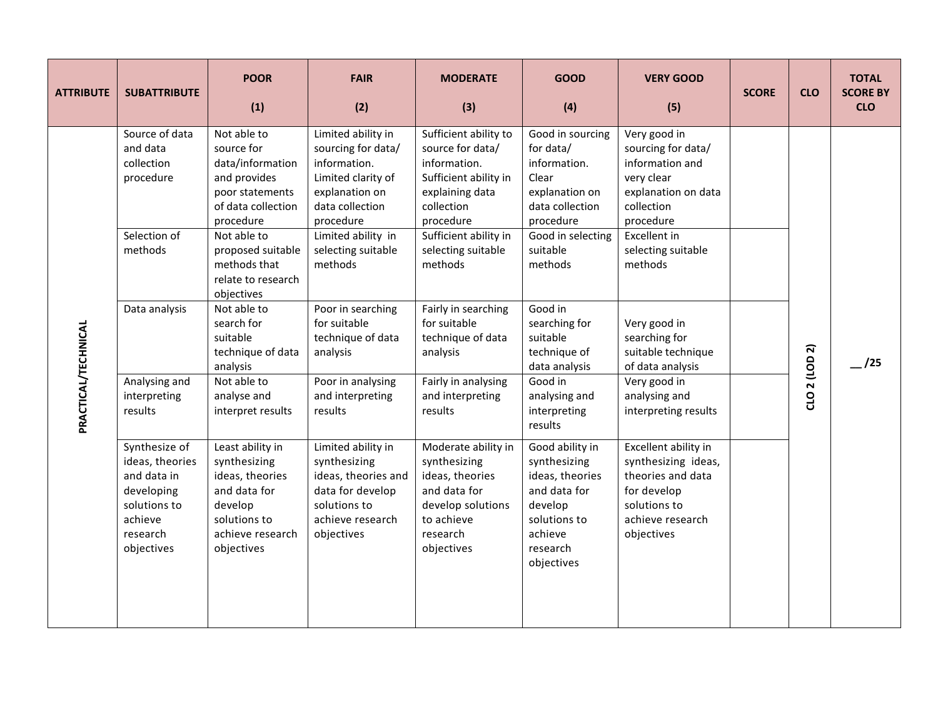| <b>ATTRIBUTE</b>    | <b>SUBATTRIBUTE</b>                                                                                                | <b>POOR</b><br>(1)                                                                                                               | <b>FAIR</b><br>(2)                                                                                                               | <b>MODERATE</b><br>(3)                                                                                                              | <b>GOOD</b><br>(4)                                                                                                                 | <b>VERY GOOD</b><br>(5)                                                                                                           | <b>SCORE</b> | <b>CLO</b>    | <b>TOTAL</b><br><b>SCORE BY</b><br><b>CLO</b> |
|---------------------|--------------------------------------------------------------------------------------------------------------------|----------------------------------------------------------------------------------------------------------------------------------|----------------------------------------------------------------------------------------------------------------------------------|-------------------------------------------------------------------------------------------------------------------------------------|------------------------------------------------------------------------------------------------------------------------------------|-----------------------------------------------------------------------------------------------------------------------------------|--------------|---------------|-----------------------------------------------|
|                     | Source of data<br>and data<br>collection<br>procedure                                                              | Not able to<br>source for<br>data/information<br>and provides<br>poor statements<br>of data collection<br>procedure              | Limited ability in<br>sourcing for data/<br>information.<br>Limited clarity of<br>explanation on<br>data collection<br>procedure | Sufficient ability to<br>source for data/<br>information.<br>Sufficient ability in<br>explaining data<br>collection<br>procedure    | Good in sourcing<br>for data/<br>information.<br>Clear<br>explanation on<br>data collection<br>procedure                           | Very good in<br>sourcing for data/<br>information and<br>very clear<br>explanation on data<br>collection<br>procedure             |              |               |                                               |
|                     | Selection of<br>methods                                                                                            | Not able to<br>proposed suitable<br>methods that<br>relate to research<br>objectives                                             | Limited ability in<br>selecting suitable<br>methods                                                                              | Sufficient ability in<br>selecting suitable<br>methods                                                                              | Good in selecting<br>suitable<br>methods                                                                                           | Excellent in<br>selecting suitable<br>methods                                                                                     |              |               |                                               |
| PRACTICAL/TECHNICAL | Data analysis                                                                                                      | Not able to<br>search for<br>suitable<br>technique of data<br>analysis                                                           | Poor in searching<br>for suitable<br>technique of data<br>analysis                                                               | Fairly in searching<br>for suitable<br>technique of data<br>analysis                                                                | Good in<br>searching for<br>suitable<br>technique of<br>data analysis                                                              | Very good in<br>searching for<br>suitable technique<br>of data analysis                                                           |              |               | /25                                           |
|                     | Analysing and<br>interpreting<br>results                                                                           | Not able to<br>analyse and<br>interpret results                                                                                  | Poor in analysing<br>and interpreting<br>results                                                                                 | Fairly in analysing<br>and interpreting<br>results                                                                                  | Good in<br>analysing and<br>interpreting<br>results                                                                                | Very good in<br>analysing and<br>interpreting results                                                                             |              | CLO 2 (LOD 2) |                                               |
|                     | Synthesize of<br>ideas, theories<br>and data in<br>developing<br>solutions to<br>achieve<br>research<br>objectives | Least ability in<br>synthesizing<br>ideas, theories<br>and data for<br>develop<br>solutions to<br>achieve research<br>objectives | Limited ability in<br>synthesizing<br>ideas, theories and<br>data for develop<br>solutions to<br>achieve research<br>objectives  | Moderate ability in<br>synthesizing<br>ideas, theories<br>and data for<br>develop solutions<br>to achieve<br>research<br>objectives | Good ability in<br>synthesizing<br>ideas, theories<br>and data for<br>develop<br>solutions to<br>achieve<br>research<br>objectives | Excellent ability in<br>synthesizing ideas,<br>theories and data<br>for develop<br>solutions to<br>achieve research<br>objectives |              |               |                                               |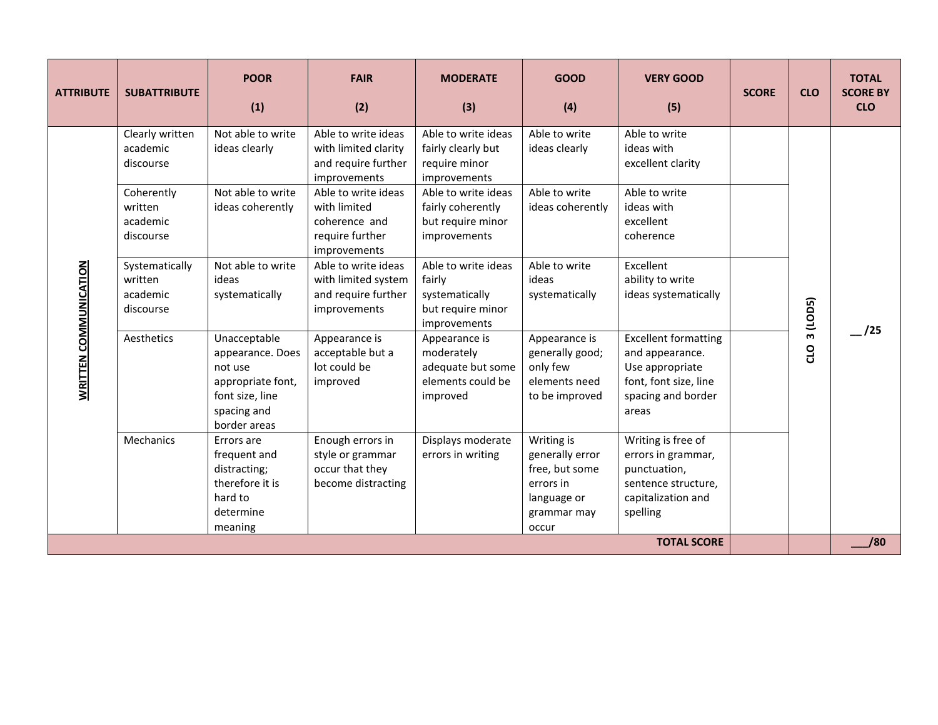| <b>ATTRIBUTE</b>             | <b>SUBATTRIBUTE</b>                                                                                                                                                         | <b>POOR</b><br>(1)                                                                                                                                                                                                                                                              | <b>FAIR</b><br>(2)                                                                                                                                                                                                                                                                                                                                                          | <b>MODERATE</b><br>(3)                                                                                                                                                                                                                                                                                                                                                             | <b>GOOD</b><br>(4)                                                                                                                                                                                                                  | <b>VERY GOOD</b><br>(5)                                                                                                                                                                                                                                                                                                                     | <b>SCORE</b> | <b>CLO</b>                           | <b>TOTAL</b><br><b>SCORE BY</b><br><b>CLO</b> |
|------------------------------|-----------------------------------------------------------------------------------------------------------------------------------------------------------------------------|---------------------------------------------------------------------------------------------------------------------------------------------------------------------------------------------------------------------------------------------------------------------------------|-----------------------------------------------------------------------------------------------------------------------------------------------------------------------------------------------------------------------------------------------------------------------------------------------------------------------------------------------------------------------------|------------------------------------------------------------------------------------------------------------------------------------------------------------------------------------------------------------------------------------------------------------------------------------------------------------------------------------------------------------------------------------|-------------------------------------------------------------------------------------------------------------------------------------------------------------------------------------------------------------------------------------|---------------------------------------------------------------------------------------------------------------------------------------------------------------------------------------------------------------------------------------------------------------------------------------------------------------------------------------------|--------------|--------------------------------------|-----------------------------------------------|
| <b>WRITTEN COMMUNICATION</b> | Clearly written<br>academic<br>discourse<br>Coherently<br>written<br>academic<br>discourse<br>Systematically<br>written<br>academic<br>discourse<br>Aesthetics<br>Mechanics | Not able to write<br>ideas clearly<br>Not able to write<br>ideas coherently<br>Not able to write<br>ideas<br>systematically<br>Unacceptable<br>appearance. Does<br>not use<br>appropriate font,<br>font size, line<br>spacing and<br>border areas<br>Errors are<br>frequent and | Able to write ideas<br>with limited clarity<br>and require further<br>improvements<br>Able to write ideas<br>with limited<br>coherence and<br>require further<br>improvements<br>Able to write ideas<br>with limited system<br>and require further<br>improvements<br>Appearance is<br>acceptable but a<br>lot could be<br>improved<br>Enough errors in<br>style or grammar | Able to write ideas<br>fairly clearly but<br>require minor<br>improvements<br>Able to write ideas<br>fairly coherently<br>but require minor<br>improvements<br>Able to write ideas<br>fairly<br>systematically<br>but require minor<br>improvements<br>Appearance is<br>moderately<br>adequate but some<br>elements could be<br>improved<br>Displays moderate<br>errors in writing | Able to write<br>ideas clearly<br>Able to write<br>ideas coherently<br>Able to write<br>ideas<br>systematically<br>Appearance is<br>generally good;<br>only few<br>elements need<br>to be improved<br>Writing is<br>generally error | Able to write<br>ideas with<br>excellent clarity<br>Able to write<br>ideas with<br>excellent<br>coherence<br>Excellent<br>ability to write<br>ideas systematically<br><b>Excellent formatting</b><br>and appearance.<br>Use appropriate<br>font, font size, line<br>spacing and border<br>areas<br>Writing is free of<br>errors in grammar, |              | (LODS)<br>$\mathbf{m}$<br><b>Q10</b> | /25                                           |
|                              |                                                                                                                                                                             | distracting;<br>therefore it is<br>hard to<br>determine<br>meaning                                                                                                                                                                                                              | occur that they<br>become distracting                                                                                                                                                                                                                                                                                                                                       |                                                                                                                                                                                                                                                                                                                                                                                    | free, but some<br>errors in<br>language or<br>grammar may<br>occur                                                                                                                                                                  | punctuation,<br>sentence structure,<br>capitalization and<br>spelling                                                                                                                                                                                                                                                                       |              |                                      |                                               |
| /80<br><b>TOTAL SCORE</b>    |                                                                                                                                                                             |                                                                                                                                                                                                                                                                                 |                                                                                                                                                                                                                                                                                                                                                                             |                                                                                                                                                                                                                                                                                                                                                                                    |                                                                                                                                                                                                                                     |                                                                                                                                                                                                                                                                                                                                             |              |                                      |                                               |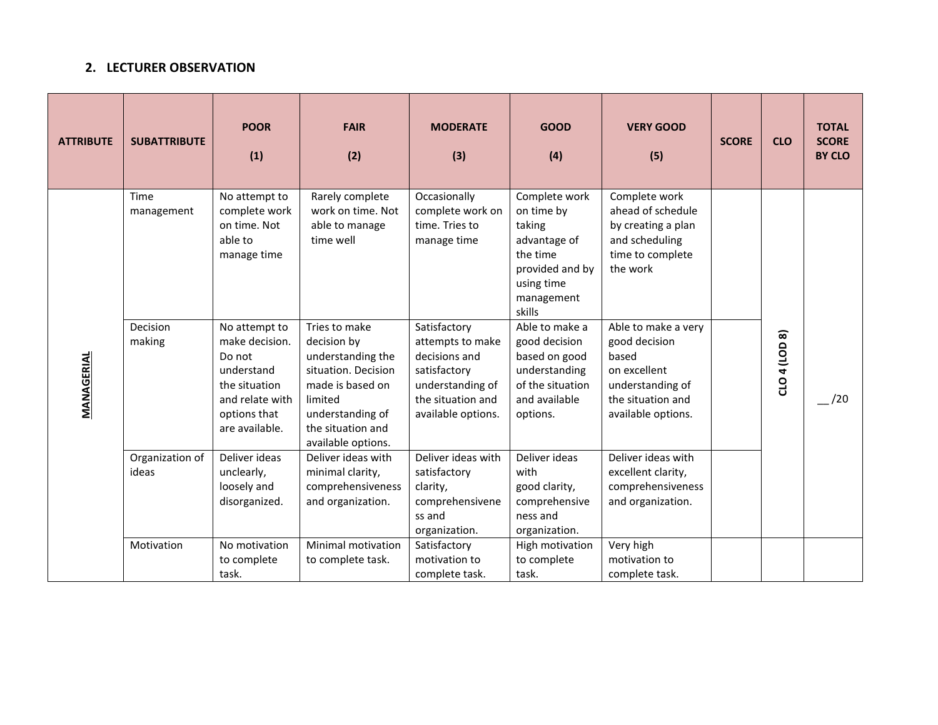## **2. LECTURER OBSERVATION**

| <b>ATTRIBUTE</b> | <b>SUBATTRIBUTE</b>      | <b>POOR</b><br>(1)                                                                                                            | <b>FAIR</b><br>(2)                                                                                                                                                     | <b>MODERATE</b><br>(3)                                                                                                           | <b>GOOD</b><br>(4)                                                                                                         | <b>VERY GOOD</b><br>(5)                                                                                                      | <b>SCORE</b> | <b>CLO</b>    | <b>TOTAL</b><br><b>SCORE</b><br><b>BY CLO</b> |
|------------------|--------------------------|-------------------------------------------------------------------------------------------------------------------------------|------------------------------------------------------------------------------------------------------------------------------------------------------------------------|----------------------------------------------------------------------------------------------------------------------------------|----------------------------------------------------------------------------------------------------------------------------|------------------------------------------------------------------------------------------------------------------------------|--------------|---------------|-----------------------------------------------|
| MANAGERIAL       | Time<br>management       | No attempt to<br>complete work<br>on time. Not<br>able to<br>manage time                                                      | Rarely complete<br>work on time. Not<br>able to manage<br>time well                                                                                                    | Occasionally<br>complete work on<br>time. Tries to<br>manage time                                                                | Complete work<br>on time by<br>taking<br>advantage of<br>the time<br>provided and by<br>using time<br>management<br>skills | Complete work<br>ahead of schedule<br>by creating a plan<br>and scheduling<br>time to complete<br>the work                   |              |               |                                               |
|                  | Decision<br>making       | No attempt to<br>make decision.<br>Do not<br>understand<br>the situation<br>and relate with<br>options that<br>are available. | Tries to make<br>decision by<br>understanding the<br>situation. Decision<br>made is based on<br>limited<br>understanding of<br>the situation and<br>available options. | Satisfactory<br>attempts to make<br>decisions and<br>satisfactory<br>understanding of<br>the situation and<br>available options. | Able to make a<br>good decision<br>based on good<br>understanding<br>of the situation<br>and available<br>options.         | Able to make a very<br>good decision<br>based<br>on excellent<br>understanding of<br>the situation and<br>available options. |              | CLO 4 (LOD 8) | /20                                           |
|                  | Organization of<br>ideas | Deliver ideas<br>unclearly,<br>loosely and<br>disorganized.                                                                   | Deliver ideas with<br>minimal clarity,<br>comprehensiveness<br>and organization.                                                                                       | Deliver ideas with<br>satisfactory<br>clarity,<br>comprehensivene<br>ss and<br>organization.                                     | Deliver ideas<br>with<br>good clarity,<br>comprehensive<br>ness and<br>organization.                                       | Deliver ideas with<br>excellent clarity,<br>comprehensiveness<br>and organization.                                           |              |               |                                               |
|                  | Motivation               | No motivation<br>to complete<br>task.                                                                                         | Minimal motivation<br>to complete task.                                                                                                                                | Satisfactory<br>motivation to<br>complete task.                                                                                  | High motivation<br>to complete<br>task.                                                                                    | Very high<br>motivation to<br>complete task.                                                                                 |              |               |                                               |